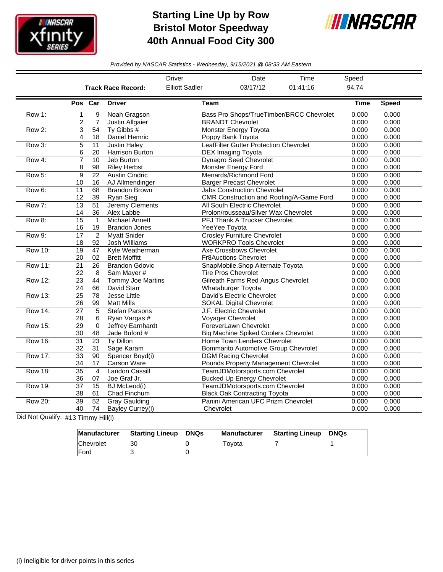

## **Starting Line Up by Row Bristol Motor Speedway 40th Annual Food City 300**



*Provided by NASCAR Statistics - Wednesday, 9/15/2021 @ 08:33 AM Eastern*

|                |                       |                       |                                               | <b>Driver</b>         | Date                                                                   | Time                                     | Speed          |                |
|----------------|-----------------------|-----------------------|-----------------------------------------------|-----------------------|------------------------------------------------------------------------|------------------------------------------|----------------|----------------|
|                |                       |                       | <b>Track Race Record:</b>                     | <b>Elliott Sadler</b> | 03/17/12                                                               | 01:41:16                                 | 94.74          |                |
|                | Pos Car               |                       | <b>Driver</b>                                 | Team                  |                                                                        |                                          | <b>Time</b>    | <b>Speed</b>   |
| Row 1:         | 1<br>2                | 9<br>7                | Noah Gragson<br>Justin Allgaier               |                       | <b>BRANDT Chevrolet</b>                                                | Bass Pro Shops/TrueTimber/BRCC Chevrolet | 0.000<br>0.000 | 0.000<br>0.000 |
| Row 2:         | $\overline{3}$<br>4   | 54<br>18              | Ty Gibbs #<br>Daniel Hemric                   |                       | <b>Monster Energy Toyota</b><br>Poppy Bank Toyota                      |                                          | 0.000<br>0.000 | 0.000<br>0.000 |
| Row 3:         | 5<br>6                | 11<br>20              | <b>Justin Haley</b><br><b>Harrison Burton</b> |                       | LeafFilter Gutter Protection Chevrolet<br>DEX Imaging Toyota           |                                          | 0.000<br>0.000 | 0.000<br>0.000 |
| Row 4:         | $\overline{7}$<br>8   | 10<br>98              | Jeb Burton<br><b>Riley Herbst</b>             |                       | <b>Dynagro Seed Chevrolet</b><br>Monster Energy Ford                   |                                          | 0.000<br>0.000 | 0.000<br>0.000 |
| Row 5:         | 9<br>10               | $\overline{22}$<br>16 | <b>Austin Cindric</b><br>AJ Allmendinger      |                       | Menards/Richmond Ford<br><b>Barger Precast Chevrolet</b>               |                                          | 0.000<br>0.000 | 0.000<br>0.000 |
| Row 6:         | 11<br>12              | 68<br>39              | <b>Brandon Brown</b><br>Ryan Sieg             |                       | <b>Jabs Construction Chevrolet</b>                                     | CMR Construction and Roofing/A-Game Ford | 0.000<br>0.000 | 0.000<br>0.000 |
| Row 7:         | $\overline{13}$<br>14 | 51<br>36              | <b>Jeremy Clements</b><br>Alex Labbe          |                       | All South Electric Chevrolet<br>Prolon/rousseau/Silver Wax Chevrolet   |                                          | 0.000<br>0.000 | 0.000<br>0.000 |
| Row 8:         | $\overline{15}$<br>16 | $\mathbf{1}$<br>19    | <b>Michael Annett</b><br><b>Brandon Jones</b> |                       | PFJ Thank A Trucker Chevrolet<br>YeeYee Tovota                         |                                          | 0.000<br>0.000 | 0.000<br>0.000 |
| Row 9:         | 17<br>18              | $\overline{2}$<br>92  | <b>Myatt Snider</b><br>Josh Williams          |                       | <b>Crosley Furniture Chevrolet</b><br><b>WORKPRO Tools Chevrolet</b>   |                                          | 0.000<br>0.000 | 0.000<br>0.000 |
| <b>Row 10:</b> | 19<br>20              | 47<br>02              | Kyle Weatherman<br><b>Brett Moffitt</b>       |                       | Axe Crossbows Chevrolet<br><b>Fr8Auctions Chevrolet</b>                |                                          | 0.000<br>0.000 | 0.000<br>0.000 |
| <b>Row 11:</b> | 21<br>22              | 26<br>8               | <b>Brandon Gdovic</b><br>Sam Mayer #          |                       | SnapMobile.Shop Alternate Toyota<br><b>Tire Pros Chevrolet</b>         |                                          | 0.000<br>0.000 | 0.000<br>0.000 |
| Row 12:        | $\overline{23}$<br>24 | 44<br>66              | <b>Tommy Joe Martins</b><br>David Starr       |                       | <b>Gilreath Farms Red Angus Chevrolet</b><br>Whataburger Toyota        |                                          | 0.000<br>0.000 | 0.000<br>0.000 |
| <b>Row 13:</b> | $\overline{25}$<br>26 | 78<br>99              | <b>Jesse Little</b><br>Matt Mills             |                       | David's Electric Chevrolet<br><b>SOKAL Digital Chevrolet</b>           |                                          | 0.000<br>0.000 | 0.000<br>0.000 |
| <b>Row 14:</b> | 27<br>28              | 5<br>6                | <b>Stefan Parsons</b><br>Ryan Vargas #        |                       | J.F. Electric Chevrolet<br>Voyager Chevrolet                           |                                          | 0.000<br>0.000 | 0.000<br>0.000 |
| Row 15:        | 29<br>30              | $\Omega$<br>48        | Jeffrey Earnhardt<br>Jade Buford #            |                       | ForeverLawn Chevrolet<br><b>Big Machine Spiked Coolers Chevrolet</b>   |                                          | 0.000<br>0.000 | 0.000<br>0.000 |
| <b>Row 16:</b> | $\overline{31}$<br>32 | $\overline{23}$<br>31 | <b>Ty Dillon</b><br>Sage Karam                |                       | Home Town Lenders Chevrolet<br>Bommarito Automotive Group Chevrolet    |                                          | 0.000<br>0.000 | 0.000<br>0.000 |
| <b>Row 17:</b> | 33<br>34              | 90<br>17              | Spencer Boyd(i)<br>Carson Ware                |                       | <b>DGM Racing Chevrolet</b><br>Pounds Property Management Chevrolet    |                                          | 0.000<br>0.000 | 0.000<br>0.000 |
| <b>Row 18:</b> | $\overline{35}$<br>36 | $\overline{4}$<br>07  | Landon Cassill<br>Joe Graf Jr.                |                       | TeamJDMotorsports.com Chevrolet<br><b>Bucked Up Energy Chevrolet</b>   |                                          | 0.000<br>0.000 | 0.000<br>0.000 |
| Row 19:        | $\overline{37}$<br>38 | $\overline{15}$<br>61 | <b>BJ</b> McLeod(i)<br>Chad Finchum           |                       | TeamJDMotorsports.com Chevrolet<br><b>Black Oak Contracting Toyota</b> |                                          | 0.000<br>0.000 | 0.000<br>0.000 |
| <b>Row 20:</b> | 39<br>40              | 52<br>74              | <b>Gray Gaulding</b><br>Bayley Currey(i)      | Chevrolet             | Panini American UFC Prizm Chevrolet                                    |                                          | 0.000<br>0.000 | 0.000<br>0.000 |

Did Not Qualify: #13 Timmy Hill(i)

|              | Manufacturer Starting Lineup | DNQs | Manufacturer | <b>Starting Lineup DNQs</b> |  |
|--------------|------------------------------|------|--------------|-----------------------------|--|
| Chevrolet    | 30                           |      | Tovota       |                             |  |
| <b>IFord</b> |                              |      |              |                             |  |